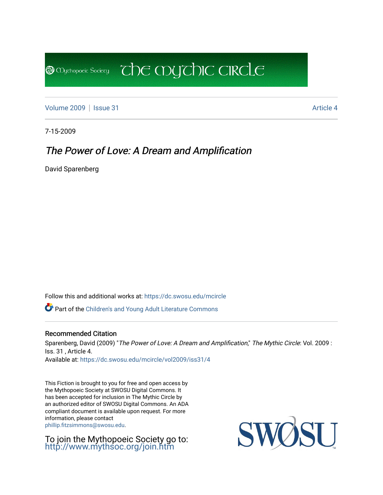[Volume 2009](https://dc.swosu.edu/mcircle/vol2009) | [Issue 31](https://dc.swosu.edu/mcircle/vol2009/iss31) Article 4

**B** Mychopoeic Sociecy

7-15-2009

## The Power of Love: A Dream and Amplification

 $\overline{C}$  the mychic circle

David Sparenberg

Follow this and additional works at: [https://dc.swosu.edu/mcircle](https://dc.swosu.edu/mcircle?utm_source=dc.swosu.edu%2Fmcircle%2Fvol2009%2Fiss31%2F4&utm_medium=PDF&utm_campaign=PDFCoverPages) 

Part of the [Children's and Young Adult Literature Commons](http://network.bepress.com/hgg/discipline/1289?utm_source=dc.swosu.edu%2Fmcircle%2Fvol2009%2Fiss31%2F4&utm_medium=PDF&utm_campaign=PDFCoverPages) 

#### Recommended Citation

Sparenberg, David (2009) "The Power of Love: A Dream and Amplification," The Mythic Circle: Vol. 2009 : Iss. 31 , Article 4. Available at: [https://dc.swosu.edu/mcircle/vol2009/iss31/4](https://dc.swosu.edu/mcircle/vol2009/iss31/4?utm_source=dc.swosu.edu%2Fmcircle%2Fvol2009%2Fiss31%2F4&utm_medium=PDF&utm_campaign=PDFCoverPages)

This Fiction is brought to you for free and open access by the Mythopoeic Society at SWOSU Digital Commons. It has been accepted for inclusion in The Mythic Circle by an authorized editor of SWOSU Digital Commons. An ADA compliant document is available upon request. For more information, please contact [phillip.fitzsimmons@swosu.edu](mailto:phillip.fitzsimmons@swosu.edu).

To join the Mythopoeic Society go to: <http://www.mythsoc.org/join.htm>

SWO **STT**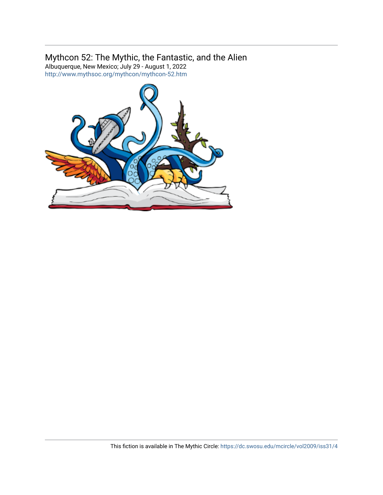## Mythcon 52: The Mythic, the Fantastic, and the Alien

Albuquerque, New Mexico; July 29 - August 1, 2022 <http://www.mythsoc.org/mythcon/mythcon-52.htm>

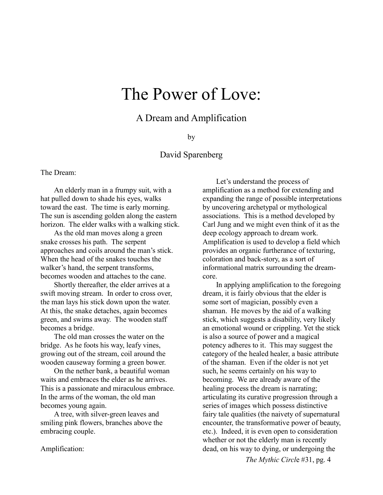# The Power of Love:

## A Dream and Amplification

by

### David Sparenberg

#### The Dream:

An elderly man in a frumpy suit, with a hat pulled down to shade his eyes, walks toward the east. The time is early morning. The sun is ascending golden along the eastern horizon. The elder walks with a walking stick.

 As the old man moves along a green snake crosses his path. The serpent approaches and coils around the man's stick. When the head of the snakes touches the walker's hand, the serpent transforms, becomes wooden and attaches to the cane.

Shortly thereafter, the elder arrives at a swift moving stream. In order to cross over, the man lays his stick down upon the water. At this, the snake detaches, again becomes green, and swims away. The wooden staff becomes a bridge.

The old man crosses the water on the bridge. As he foots his way, leafy vines, growing out of the stream, coil around the wooden causeway forming a green bower.

On the nether bank, a beautiful woman waits and embraces the elder as he arrives. This is a passionate and miraculous embrace. In the arms of the woman, the old man becomes young again.

 A tree, with silver-green leaves and smiling pink flowers, branches above the embracing couple.

Amplification:

Let's understand the process of amplification as a method for extending and expanding the range of possible interpretations by uncovering archetypal or mythological associations. This is a method developed by Carl Jung and we might even think of it as the deep ecology approach to dream work. Amplification is used to develop a field which provides an organic furtherance of texturing, coloration and back-story, as a sort of informational matrix surrounding the dreamcore.

In applying amplification to the foregoing dream, it is fairly obvious that the elder is some sort of magician, possibly even a shaman. He moves by the aid of a walking stick, which suggests a disability, very likely an emotional wound or crippling. Yet the stick is also a source of power and a magical potency adheres to it. This may suggest the category of the healed healer, a basic attribute of the shaman. Even if the older is not yet such, he seems certainly on his way to becoming. We are already aware of the healing process the dream is narrating; articulating its curative progression through a series of images which possess distinctive fairy tale qualities (the naivety of supernatural encounter, the transformative power of beauty, etc.). Indeed, it is even open to consideration whether or not the elderly man is recently dead, on his way to dying, or undergoing the

*The Mythic Circl*e #31, pg. 4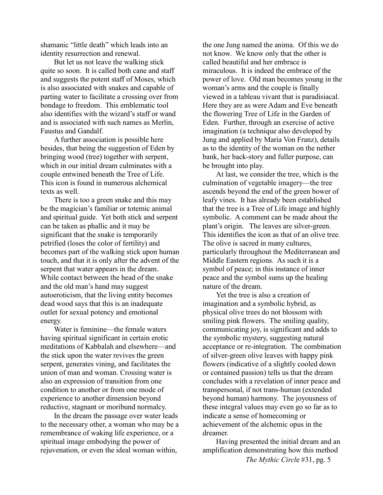shamanic "little death" which leads into an identity resurrection and renewal.

But let us not leave the walking stick quite so soon. It is called both cane and staff and suggests the potent staff of Moses, which is also associated with snakes and capable of parting water to facilitate a crossing over from bondage to freedom. This emblematic tool also identifies with the wizard's staff or wand and is associated with such names as Merlin, Faustus and Gandalf.

 A further association is possible here besides, that being the suggestion of Eden by bringing wood (tree) together with serpent, which in our initial dream culminates with a couple entwined beneath the Tree of Life. This icon is found in numerous alchemical texts as well.

There is too a green snake and this may be the magician's familiar or totemic animal and spiritual guide. Yet both stick and serpent can be taken as phallic and it may be significant that the snake is temporarily petrified (loses the color of fertility) and becomes part of the walking stick upon human touch, and that it is only after the advent of the serpent that water appears in the dream. While contact between the head of the snake and the old man's hand may suggest autoeroticism, that the living entity becomes dead wood says that this is an inadequate outlet for sexual potency and emotional energy.

Water is feminine—the female waters having spiritual significant in certain erotic meditations of Kabbalah and elsewhere—and the stick upon the water revives the green serpent, generates vining, and facilitates the union of man and woman. Crossing water is also an expression of transition from one condition to another or from one mode of experience to another dimension beyond reductive, stagnant or moribund normalcy.

 In the dream the passage over water leads to the necessary other, a woman who may be a remembrance of waking life experience, or a spiritual image embodying the power of rejuvenation, or even the ideal woman within,

the one Jung named the anima. Of this we do not know. We know only that the other is called beautiful and her embrace is miraculous. It is indeed the embrace of the power of love. Old man becomes young in the woman's arms and the couple is finally viewed in a tableau vivant that is paradisiacal. Here they are as were Adam and Eve beneath the flowering Tree of Life in the Garden of Eden. Further, through an exercise of active imagination (a technique also developed by Jung and applied by Maria Von Franz), details as to the identity of the woman on the nether bank, her back-story and fuller purpose, can be brought into play.

 At last, we consider the tree, which is the culmination of vegetable imagery—the tree ascends beyond the end of the green bower of leafy vines. It has already been established that the tree is a Tree of Life image and highly symbolic. A comment can be made about the plant's origin. The leaves are silver-green. This identifies the icon as that of an olive tree. The olive is sacred in many cultures, particularly throughout the Mediterranean and Middle Eastern regions. As such it is a symbol of peace; in this instance of inner peace and the symbol sums up the healing nature of the dream.

Yet the tree is also a creation of imagination and a symbolic hybrid, as physical olive trees do not blossom with smiling pink flowers. The smiling quality, communicating joy, is significant and adds to the symbolic mystery, suggesting natural acceptance or re-integration. The combination of silver-green olive leaves with happy pink flowers (indicative of a slightly cooled down or contained passion) tells us that the dream concludes with a revelation of inner peace and transpersonal, if not trans-human (extended beyond human) harmony. The joyousness of these integral values may even go so far as to indicate a sense of homecoming or achievement of the alchemic opus in the dreamer.

*The Mythic Circl*e #31, pg. 5 Having presented the initial dream and an amplification demonstrating how this method